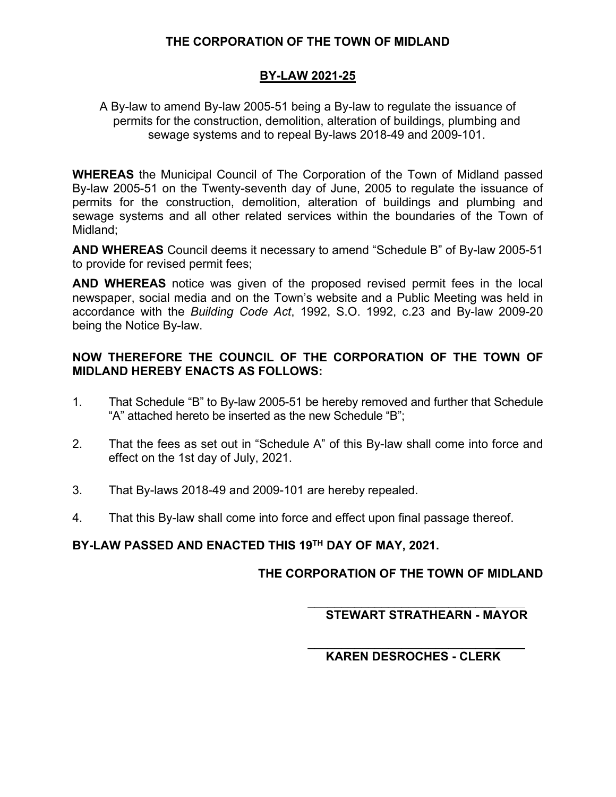#### **THE CORPORATION OF THE TOWN OF MIDLAND**

#### **BY-LAW 2021-25**

A By-law to amend By-law 2005-51 being a By-law to regulate the issuance of permits for the construction, demolition, alteration of buildings, plumbing and sewage systems and to repeal By-laws 2018-49 and 2009-101.

**WHEREAS** the Municipal Council of The Corporation of the Town of Midland passed By-law 2005-51 on the Twenty-seventh day of June, 2005 to regulate the issuance of permits for the construction, demolition, alteration of buildings and plumbing and sewage systems and all other related services within the boundaries of the Town of Midland;

**AND WHEREAS** Council deems it necessary to amend "Schedule B" of By-law 2005-51 to provide for revised permit fees;

**AND WHEREAS** notice was given of the proposed revised permit fees in the local newspaper, social media and on the Town's website and a Public Meeting was held in accordance with the *Building Code Act*, 1992, S.O. 1992, c.23 and By-law 2009-20 being the Notice By-law.

#### **NOW THEREFORE THE COUNCIL OF THE CORPORATION OF THE TOWN OF MIDLAND HEREBY ENACTS AS FOLLOWS:**

- 1. That Schedule "B" to By-law 2005-51 be hereby removed and further that Schedule "A" attached hereto be inserted as the new Schedule "B";
- 2. That the fees as set out in "Schedule A" of this By-law shall come into force and effect on the 1st day of July, 2021.
- 3. That By-laws 2018-49 and 2009-101 are hereby repealed.
- 4. That this By-law shall come into force and effect upon final passage thereof.

#### **BY-LAW PASSED AND ENACTED THIS 19TH DAY OF MAY, 2021.**

#### **THE CORPORATION OF THE TOWN OF MIDLAND**

#### \_\_\_\_\_\_\_\_\_\_\_\_\_\_\_\_\_\_\_\_\_\_\_\_\_\_\_\_ **STEWART STRATHEARN - MAYOR**

#### \_\_\_\_\_\_\_\_\_\_\_\_\_\_\_\_\_\_\_\_\_\_\_\_\_\_\_\_ **KAREN DESROCHES - CLERK**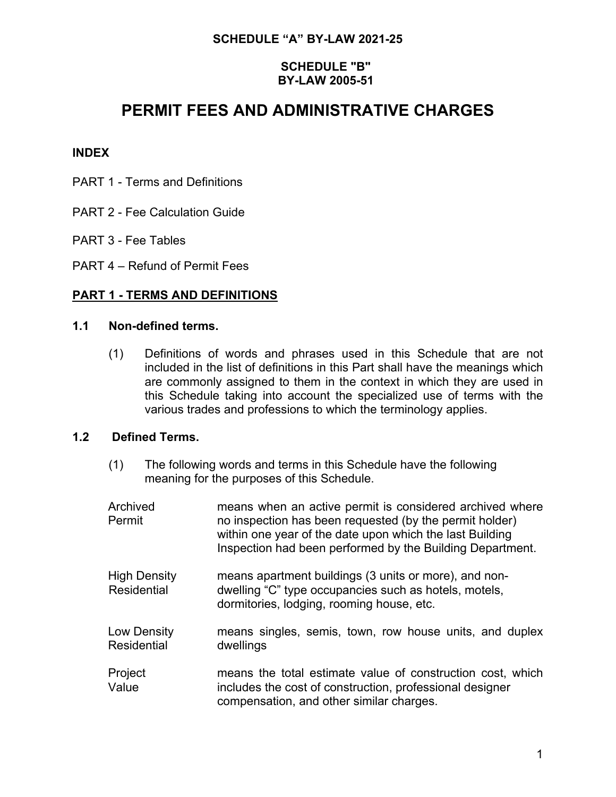#### **SCHEDULE "B" BY-LAW 2005-51**

### **PERMIT FEES AND ADMINISTRATIVE CHARGES**

#### **INDEX**

- PART 1 Terms and Definitions
- PART 2 Fee Calculation Guide
- PART 3 Fee Tables
- PART 4 Refund of Permit Fees

#### **PART 1 - TERMS AND DEFINITIONS**

#### **1.1 Non-defined terms.**

(1) Definitions of words and phrases used in this Schedule that are not included in the list of definitions in this Part shall have the meanings which are commonly assigned to them in the context in which they are used in this Schedule taking into account the specialized use of terms with the various trades and professions to which the terminology applies.

#### **1.2 Defined Terms.**

(1) The following words and terms in this Schedule have the following meaning for the purposes of this Schedule.

| Archived<br>Permit                 | means when an active permit is considered archived where<br>no inspection has been requested (by the permit holder)<br>within one year of the date upon which the last Building<br>Inspection had been performed by the Building Department. |
|------------------------------------|----------------------------------------------------------------------------------------------------------------------------------------------------------------------------------------------------------------------------------------------|
| <b>High Density</b><br>Residential | means apartment buildings (3 units or more), and non-<br>dwelling "C" type occupancies such as hotels, motels,<br>dormitories, lodging, rooming house, etc.                                                                                  |
| <b>Low Density</b><br>Residential  | means singles, semis, town, row house units, and duplex<br>dwellings                                                                                                                                                                         |
| Project<br>Value                   | means the total estimate value of construction cost, which<br>includes the cost of construction, professional designer<br>compensation, and other similar charges.                                                                           |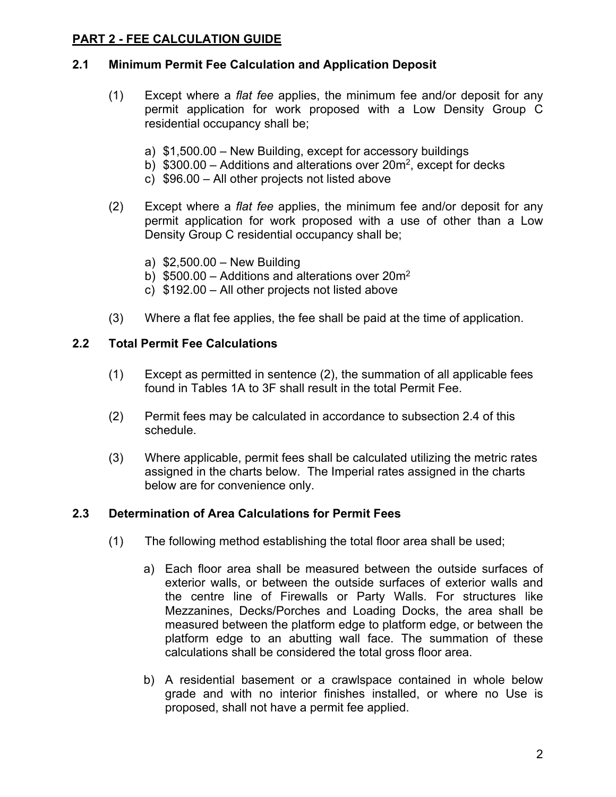#### **PART 2 - FEE CALCULATION GUIDE**

#### **2.1 Minimum Permit Fee Calculation and Application Deposit**

- (1) Except where a *flat fee* applies, the minimum fee and/or deposit for any permit application for work proposed with a Low Density Group C residential occupancy shall be;
	- a) \$1,500.00 New Building, except for accessory buildings
	- b)  $$300.00 -$  Additions and alterations over 20 $m<sup>2</sup>$ , except for decks
	- c) \$96.00 All other projects not listed above
- (2) Except where a *flat fee* applies, the minimum fee and/or deposit for any permit application for work proposed with a use of other than a Low Density Group C residential occupancy shall be;
	- a) \$2,500.00 New Building
	- b)  $$500.00 -$  Additions and alterations over 20 $m<sup>2</sup>$
	- c) \$192.00 All other projects not listed above
- (3) Where a flat fee applies, the fee shall be paid at the time of application.

#### **2.2 Total Permit Fee Calculations**

- (1) Except as permitted in sentence (2), the summation of all applicable fees found in Tables 1A to 3F shall result in the total Permit Fee.
- (2) Permit fees may be calculated in accordance to subsection 2.4 of this schedule.
- (3) Where applicable, permit fees shall be calculated utilizing the metric rates assigned in the charts below. The Imperial rates assigned in the charts below are for convenience only.

#### **2.3 Determination of Area Calculations for Permit Fees**

- (1) The following method establishing the total floor area shall be used;
	- a) Each floor area shall be measured between the outside surfaces of exterior walls, or between the outside surfaces of exterior walls and the centre line of Firewalls or Party Walls. For structures like Mezzanines, Decks/Porches and Loading Docks, the area shall be measured between the platform edge to platform edge, or between the platform edge to an abutting wall face. The summation of these calculations shall be considered the total gross floor area.
	- b) A residential basement or a crawlspace contained in whole below grade and with no interior finishes installed, or where no Use is proposed, shall not have a permit fee applied.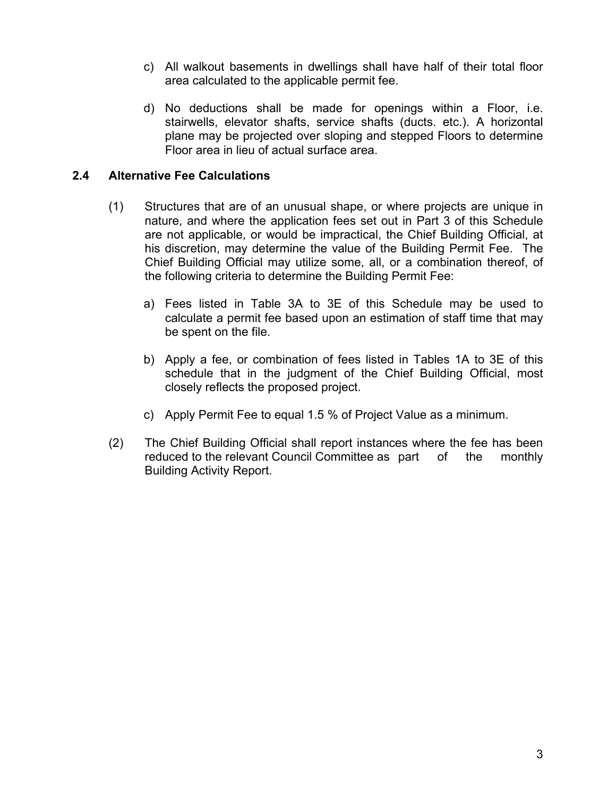- c) All walkout basements in dwellings shall have half of their total floor area calculated to the applicable permit fee.
- d) No deductions shall be made for openings within a Floor, i.e. stairwells, elevator shafts, service shafts (ducts. etc.). A horizontal plane may be projected over sloping and stepped Floors to determine Floor area in lieu of actual surface area.

#### **2.4 Alternative Fee Calculations**

- (1) Structures that are of an unusual shape, or where projects are unique in nature, and where the application fees set out in Part 3 of this Schedule are not applicable, or would be impractical, the Chief Building Official, at his discretion, may determine the value of the Building Permit Fee. The Chief Building Official may utilize some, all, or a combination thereof, of the following criteria to determine the Building Permit Fee:
	- a) Fees listed in Table 3A to 3E of this Schedule may be used to calculate a permit fee based upon an estimation of staff time that may be spent on the file.
	- b) Apply a fee, or combination of fees listed in Tables 1A to 3E of this schedule that in the judgment of the Chief Building Official, most closely reflects the proposed project.
	- c) Apply Permit Fee to equal 1.5 % of Project Value as a minimum.
- (2) The Chief Building Official shall report instances where the fee has been reduced to the relevant Council Committee as part of the monthly Building Activity Report.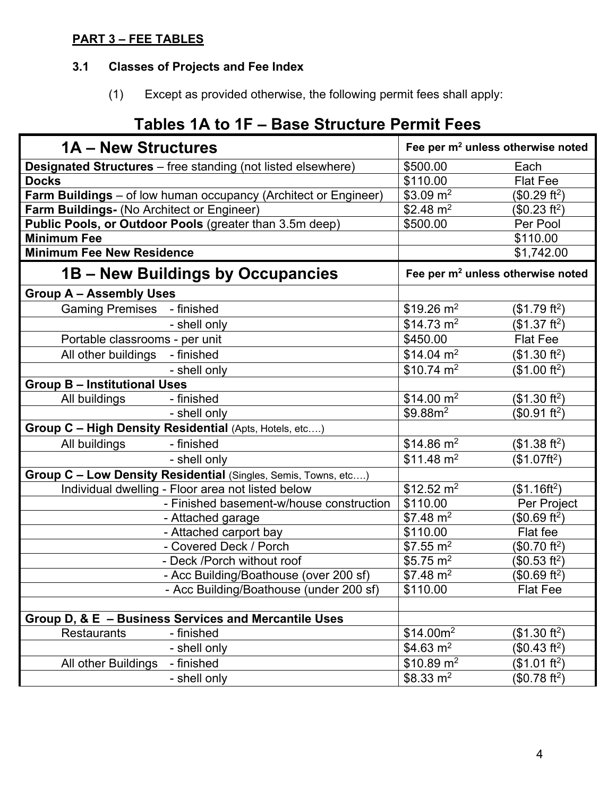#### **PART 3 – FEE TABLES**

#### **3.1 Classes of Projects and Fee Index**

(1) Except as provided otherwise, the following permit fees shall apply:

## **Tables 1A to 1F – Base Structure Permit Fees**

| 1A - New Structures                                                    | Fee per m <sup>2</sup> unless otherwise noted |                           |
|------------------------------------------------------------------------|-----------------------------------------------|---------------------------|
| <b>Designated Structures</b> - free standing (not listed elsewhere)    | \$500.00<br>Each                              |                           |
| <b>Docks</b>                                                           | \$110.00                                      | <b>Flat Fee</b>           |
| <b>Farm Buildings</b> – of low human occupancy (Architect or Engineer) | \$3.09 $m2$                                   | (\$0.29 ft <sup>2</sup> ) |
| Farm Buildings- (No Architect or Engineer)                             | \$2.48 $m2$                                   | (\$0.23 ft <sup>2</sup> ) |
| Public Pools, or Outdoor Pools (greater than 3.5m deep)                | \$500.00                                      | Per Pool                  |
| <b>Minimum Fee</b>                                                     |                                               | \$110.00                  |
| <b>Minimum Fee New Residence</b>                                       |                                               | \$1,742.00                |
| 1B – New Buildings by Occupancies                                      | Fee per m <sup>2</sup> unless otherwise noted |                           |
| <b>Group A - Assembly Uses</b>                                         |                                               |                           |
| Gaming Premises - finished                                             | $$19.26 \text{ m}^2$                          | (\$1.79 ft <sup>2</sup> ) |
| - shell only                                                           | $$14.73 \text{ m}^2$                          | (\$1.37 ft <sup>2</sup> ) |
| Portable classrooms - per unit                                         | \$450.00                                      | <b>Flat Fee</b>           |
| All other buildings - finished                                         | $$14.04 \text{ m}^2$                          | (\$1.30 ft <sup>2</sup> ) |
| - shell only                                                           | $$10.74 \text{ m}^2$                          | (\$1.00 ft <sup>2</sup> ) |
| <b>Group B - Institutional Uses</b>                                    |                                               |                           |
| All buildings<br>- finished                                            | \$14.00 m <sup>2</sup>                        | (\$1.30 ft <sup>2</sup> ) |
| - shell only                                                           | \$9.88m <sup>2</sup>                          | (\$0.91 ft <sup>2</sup> ) |
| Group C - High Density Residential (Apts, Hotels, etc)                 |                                               |                           |
| - finished<br>All buildings                                            | $$14.86 \text{ m}^2$                          | (\$1.38 ft <sup>2</sup> ) |
| - shell only                                                           | \$11.48 $m2$                                  | (\$1.07ft <sup>2</sup> )  |
| Group C - Low Density Residential (Singles, Semis, Towns, etc)         |                                               |                           |
| Individual dwelling - Floor area not listed below                      | $$12.52 \text{ m}^2$                          | (\$1.16ft <sup>2</sup> )  |
| - Finished basement-w/house construction                               | \$110.00                                      | Per Project               |
| - Attached garage                                                      | $$7.48 \text{ m}^2$$                          | \$0.69 ft <sup>2</sup>    |
| - Attached carport bay                                                 | \$110.00                                      | Flat fee                  |
| - Covered Deck / Porch                                                 | $$7.55 \text{ m}^2$$                          | (\$0.70 ft <sup>2</sup> ) |
| - Deck /Porch without roof                                             | \$5.75 $m2$                                   | (\$0.53 ft <sup>2</sup> ) |
| - Acc Building/Boathouse (over 200 sf)                                 | $$7.48 \text{ m}^2$$                          | $(\$0.69 ft2)$            |
| - Acc Building/Boathouse (under 200 sf)                                | \$110.00                                      | <b>Flat Fee</b>           |
|                                                                        |                                               |                           |
| Group D, & E - Business Services and Mercantile Uses                   |                                               |                           |
| - finished<br><b>Restaurants</b>                                       | \$14.00m <sup>2</sup>                         | $($1.30 \overline{ft^2})$ |
| - shell only                                                           | \$4.63 $m2$                                   | (\$0.43 ft <sup>2</sup> ) |
| All other Buildings<br>- finished                                      | $$10.89 \text{ m}^2$                          | (\$1.01 ft <sup>2</sup> ) |
| - shell only                                                           | \$8.33 $m2$                                   | (\$0.78 ft <sup>2</sup> ) |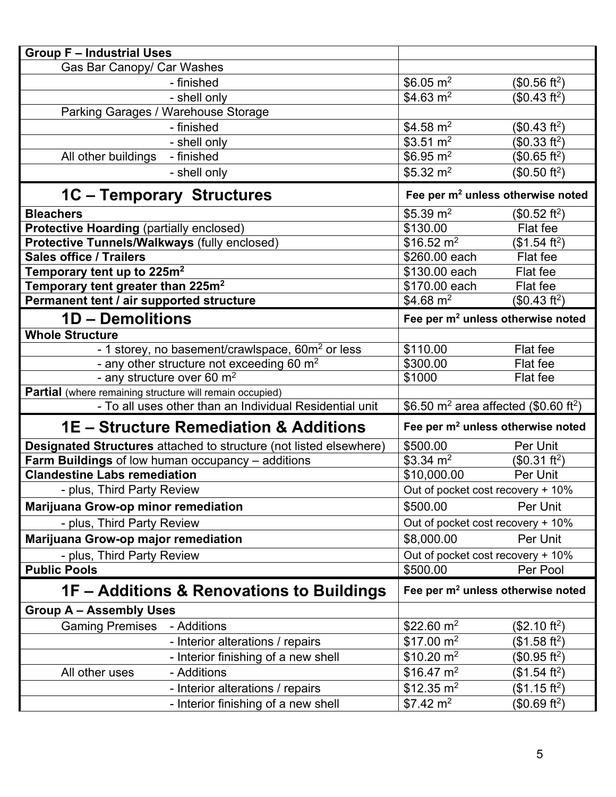| <b>Group F-Industrial Uses</b>                                     |                                               |                                                               |  |
|--------------------------------------------------------------------|-----------------------------------------------|---------------------------------------------------------------|--|
| Gas Bar Canopy/ Car Washes                                         |                                               |                                                               |  |
| - finished                                                         | \$6.05 $m2$                                   | $$0.56 ft2$ )                                                 |  |
| - shell only                                                       | \$4.63 $m2$                                   | (\$0.43 ft <sup>2</sup> )                                     |  |
| Parking Garages / Warehouse Storage                                |                                               |                                                               |  |
| - finished                                                         | \$4.58 $m2$                                   | (\$0.43 ft <sup>2</sup> )                                     |  |
| - shell only                                                       | $$3.51 \text{ m}^2$                           | (\$0.33 ft <sup>2</sup> )                                     |  |
| All other buildings<br>- finished                                  | $$6.95 \text{ m}^2$$                          | (\$0.65 ft <sup>2</sup> )                                     |  |
| - shell only                                                       | \$5.32 $m2$                                   | (\$0.50 ft <sup>2</sup> )                                     |  |
| <b>1C - Temporary Structures</b>                                   | Fee per m <sup>2</sup> unless otherwise noted |                                                               |  |
| <b>Bleachers</b>                                                   | $$5.39 \text{ m}^2$$                          | (\$0.52 ft <sup>2</sup> )                                     |  |
| <b>Protective Hoarding (partially enclosed)</b>                    | \$130.00                                      | $\overline{F}$ at fee                                         |  |
| Protective Tunnels/Walkways (fully enclosed)                       | $$16.52 \text{ m}^2$                          | (\$1.54 ft <sup>2</sup> )                                     |  |
| <b>Sales office / Trailers</b>                                     | \$260.00 each                                 | Flat fee                                                      |  |
| Temporary tent up to 225m <sup>2</sup>                             | \$130.00 each                                 | Flat fee                                                      |  |
| Temporary tent greater than 225m <sup>2</sup>                      | \$170.00 each                                 | Flat fee                                                      |  |
| Permanent tent / air supported structure                           | \$4.68 $m2$                                   | (\$0.43 ft <sup>2</sup> )                                     |  |
| 1D - Demolitions                                                   | Fee per m <sup>2</sup> unless otherwise noted |                                                               |  |
| <b>Whole Structure</b>                                             |                                               |                                                               |  |
| - 1 storey, no basement/crawlspace, 60m <sup>2</sup> or less       | \$110.00                                      | Flat fee                                                      |  |
| - any other structure not exceeding 60 $m2$                        | \$300.00                                      | Flat fee                                                      |  |
| - any structure over 60 $m2$                                       | \$1000                                        | Flat fee                                                      |  |
| Partial (where remaining structure will remain occupied)           |                                               |                                                               |  |
| - To all uses other than an Individual Residential unit            |                                               | \$6.50 m <sup>2</sup> area affected (\$0.60 ft <sup>2</sup> ) |  |
| 1E – Structure Remediation & Additions                             | Fee per m <sup>2</sup> unless otherwise noted |                                                               |  |
| Designated Structures attached to structure (not listed elsewhere) | \$500.00                                      | Per Unit                                                      |  |
| Farm Buildings of low human occupancy - additions                  | \$3.34 $m2$                                   | (\$0.31 ft <sup>2</sup> )                                     |  |
| <b>Clandestine Labs remediation</b>                                | \$10,000.00                                   | Per Unit                                                      |  |
| - plus, Third Party Review                                         | Out of pocket cost recovery + 10%             |                                                               |  |
| Marijuana Grow-op minor remediation                                | \$500.00                                      | Per Unit                                                      |  |
| - plus, Third Party Review                                         | Out of pocket cost recovery + 10%             |                                                               |  |
| Marijuana Grow-op major remediation                                | \$8,000.00                                    | Per Unit                                                      |  |
| - plus, Third Party Review                                         |                                               |                                                               |  |
|                                                                    | Out of pocket cost recovery + 10%             |                                                               |  |
| <b>Public Pools</b>                                                | \$500.00                                      | Per Pool                                                      |  |
| 1F – Additions & Renovations to Buildings                          | Fee per m <sup>2</sup> unless otherwise noted |                                                               |  |
| <b>Group A - Assembly Uses</b>                                     |                                               |                                                               |  |
| <b>Gaming Premises</b><br>- Additions                              | \$22.60 $m2$                                  | (\$2.10 ft <sup>2</sup> )                                     |  |
| - Interior alterations / repairs                                   | \$17.00 m <sup>2</sup>                        | (\$1.58 ft <sup>2</sup> )                                     |  |
| - Interior finishing of a new shell                                | $$10.20 \text{ m}^2$                          | (\$0.95 ft <sup>2</sup> )                                     |  |
| All other uses<br>- Additions                                      | $$16.47 \text{ m}^2$                          | (\$1.54 ft <sup>2</sup> )                                     |  |
| - Interior alterations / repairs                                   | $$12.35 \text{ m}^2$                          | (\$1.15 ft <sup>2</sup> )                                     |  |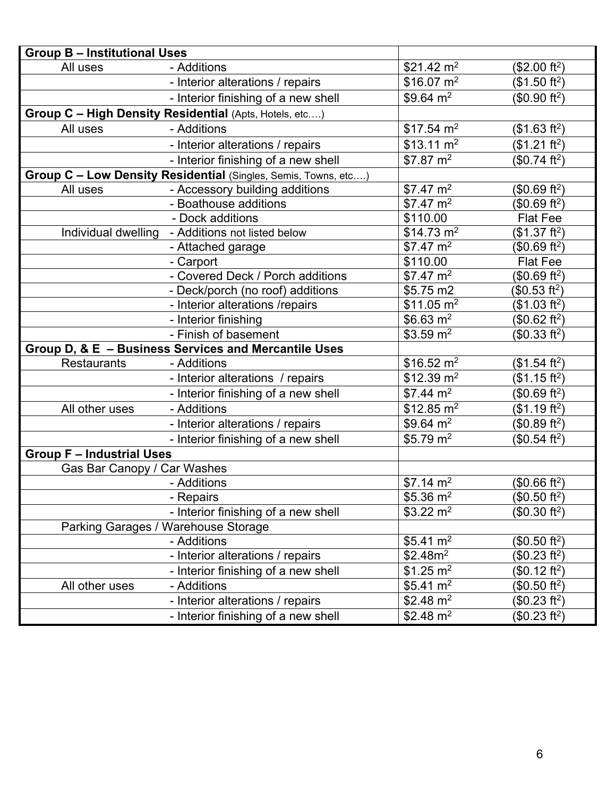| <b>Group B - Institutional Uses</b> |                                                                |                       |                              |
|-------------------------------------|----------------------------------------------------------------|-----------------------|------------------------------|
| All uses                            | - Additions                                                    | \$21.42 $m2$          | (\$2.00 ft <sup>2</sup> )    |
|                                     | - Interior alterations / repairs                               | $$16.07 \text{ m}^2$  | (\$1.50 ft <sup>2</sup> )    |
|                                     | - Interior finishing of a new shell                            | $$9.64 \text{ m}^2$   | (\$0.90 ft <sup>2</sup> )    |
|                                     | Group C - High Density Residential (Apts, Hotels, etc)         |                       |                              |
| All uses                            | - Additions                                                    | $$17.54 \text{ m}^2$  | (\$1.63 ft <sup>2</sup> )    |
|                                     | - Interior alterations / repairs                               | $$13.11 \text{ m}^2$  | (\$1.21 ft <sup>2</sup> )    |
|                                     | - Interior finishing of a new shell                            | \$7.87 $m^2$          | (\$0.74 ft <sup>2</sup> )    |
|                                     | Group C - Low Density Residential (Singles, Semis, Towns, etc) |                       |                              |
| All uses                            | - Accessory building additions                                 | \$7.47 m <sup>2</sup> | (\$0.69 ft <sup>2</sup> )    |
|                                     | - Boathouse additions                                          | $$7.47 \text{ m}^2$$  | (\$0.69 ft <sup>2</sup> )    |
|                                     | - Dock additions                                               | \$110.00              | Flat Fee                     |
| Individual dwelling                 | - Additions not listed below                                   | $$14.73 \text{ m}^2$  | (\$1.37 ft <sup>2</sup> )    |
|                                     | - Attached garage                                              | $$7.47 \text{ m}^2$$  | (\$0.69 ft <sup>2</sup> )    |
|                                     | - Carport                                                      | \$110.00              | Flat Fee                     |
|                                     | - Covered Deck / Porch additions                               | $$7.47 \text{ m}^2$$  | (\$0.69 ft <sup>2</sup> )    |
|                                     | - Deck/porch (no roof) additions                               | \$5.75 m2             | (\$0.53 ft <sup>2</sup> )    |
|                                     | - Interior alterations /repairs                                | $$11.05 \text{ m}^2$  | (\$1.03 ft <sup>2</sup> )    |
|                                     | - Interior finishing                                           | $$6.63 \text{ m}^2$$  | (\$0.62 ft <sup>2</sup> )    |
|                                     | - Finish of basement                                           | $$3.59 \text{ m}^2$$  | (\$0.33 ft <sup>2</sup> )    |
|                                     | Group D, & E - Business Services and Mercantile Uses           |                       |                              |
| <b>Restaurants</b>                  | - Additions                                                    | $$16.52 \text{ m}^2$  | (\$1.54 ft <sup>2</sup> )    |
|                                     | - Interior alterations / repairs                               | $$12.39 \text{ m}^2$$ | (\$1.15 ft <sup>2</sup> )    |
|                                     | - Interior finishing of a new shell                            | $$7.44 \text{ m}^2$$  | (\$0.69 ft <sup>2</sup> )    |
| All other uses                      | - Additions                                                    | $$12.85 \text{ m}^2$  | (\$1.19 ft <sup>2</sup> )    |
|                                     | - Interior alterations / repairs                               | \$9.64 $m2$           | (\$0.89 ft <sup>2</sup> )    |
|                                     | - Interior finishing of a new shell                            | \$5.79 $m2$           | (\$0.54 ft <sup>2</sup> )    |
| <b>Group F-Industrial Uses</b>      |                                                                |                       |                              |
| Gas Bar Canopy / Car Washes         |                                                                |                       |                              |
|                                     | - Additions                                                    | $$7.14 \text{ m}^2$$  | (\$0.66 ft <sup>2</sup> )    |
|                                     | - Repairs                                                      | $$5.36 \text{ m}^2$$  | (\$0.50 ft <sup>2</sup> )    |
|                                     | - Interior finishing of a new shell                            | $$3.22 \text{ m}^2$$  | (\$0.30 ft <sup>2</sup> )    |
|                                     | Parking Garages / Warehouse Storage                            |                       |                              |
|                                     | - Additions                                                    | \$5.41 $m2$           | $(\$0.50 ft2)$               |
|                                     | - Interior alterations / repairs                               | \$2.48m <sup>2</sup>  | (\$0.23 ft <sup>2</sup> )    |
|                                     | - Interior finishing of a new shell                            | $$1.25 \text{ m}^2$$  | (\$0.12 ft <sup>2</sup> )    |
| All other uses                      | - Additions                                                    | \$5.41 $m2$           | $($ \$0.50 ft <sup>2</sup> ) |
|                                     | - Interior alterations / repairs                               | \$2.48 $m2$           | (\$0.23 ft <sup>2</sup> )    |
|                                     | - Interior finishing of a new shell                            | $$2.48 \text{ m}^2$$  | (\$0.23 ft <sup>2</sup> )    |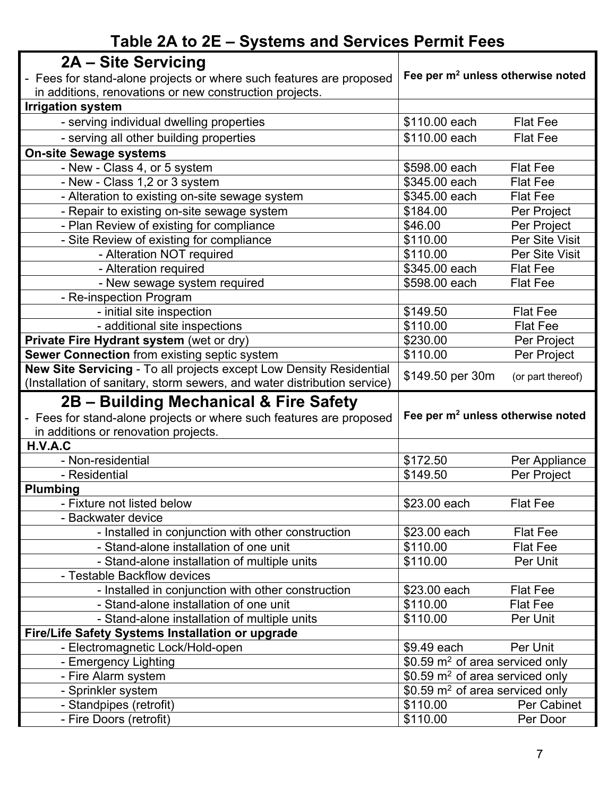# **Table 2A to 2E – Systems and Services Permit Fees**

| 2A – Site Servicing                                                                                                                             |                                                         |                                |
|-------------------------------------------------------------------------------------------------------------------------------------------------|---------------------------------------------------------|--------------------------------|
| - Fees for stand-alone projects or where such features are proposed                                                                             | Fee per m <sup>2</sup> unless otherwise noted           |                                |
| in additions, renovations or new construction projects.                                                                                         |                                                         |                                |
| <b>Irrigation system</b>                                                                                                                        |                                                         |                                |
| - serving individual dwelling properties                                                                                                        | \$110.00 each                                           | <b>Flat Fee</b>                |
| - serving all other building properties                                                                                                         | \$110.00 each                                           | <b>Flat Fee</b>                |
| <b>On-site Sewage systems</b>                                                                                                                   |                                                         |                                |
| - New - Class 4, or 5 system                                                                                                                    | \$598.00 each                                           | <b>Flat Fee</b>                |
| - New - Class 1,2 or 3 system                                                                                                                   | \$345.00 each                                           | <b>Flat Fee</b>                |
| - Alteration to existing on-site sewage system                                                                                                  | \$345.00 each                                           | <b>Flat Fee</b>                |
| - Repair to existing on-site sewage system                                                                                                      | \$184.00                                                | Per Project                    |
| - Plan Review of existing for compliance                                                                                                        | \$46.00                                                 | Per Project                    |
| - Site Review of existing for compliance                                                                                                        | \$110.00                                                | Per Site Visit                 |
| - Alteration NOT required                                                                                                                       | \$110.00                                                | Per Site Visit                 |
| - Alteration required                                                                                                                           | \$345.00 each                                           | <b>Flat Fee</b>                |
| - New sewage system required                                                                                                                    | \$598.00 each                                           | <b>Flat Fee</b>                |
| - Re-inspection Program                                                                                                                         |                                                         |                                |
| - initial site inspection                                                                                                                       | \$149.50                                                | <b>Flat Fee</b>                |
| - additional site inspections                                                                                                                   | \$110.00                                                | <b>Flat Fee</b>                |
| Private Fire Hydrant system (wet or dry)                                                                                                        | \$230.00                                                | Per Project                    |
| Sewer Connection from existing septic system                                                                                                    | \$110.00                                                |                                |
|                                                                                                                                                 |                                                         | Per Project                    |
| New Site Servicing - To all projects except Low Density Residential<br>(Installation of sanitary, storm sewers, and water distribution service) | \$149.50 per 30m                                        | (or part thereof)              |
|                                                                                                                                                 |                                                         |                                |
|                                                                                                                                                 |                                                         |                                |
| 2B – Building Mechanical & Fire Safety                                                                                                          | Fee per m <sup>2</sup> unless otherwise noted           |                                |
| - Fees for stand-alone projects or where such features are proposed                                                                             |                                                         |                                |
| in additions or renovation projects.                                                                                                            |                                                         |                                |
| H.V.A.C<br>- Non-residential                                                                                                                    |                                                         |                                |
|                                                                                                                                                 | \$172.50                                                | Per Appliance                  |
| - Residential                                                                                                                                   | \$149.50                                                | Per Project                    |
| <b>Plumbing</b>                                                                                                                                 |                                                         |                                |
| Fixture not listed below                                                                                                                        | \$23.00 each                                            | <b>Flat Fee</b>                |
| - Backwater device                                                                                                                              |                                                         |                                |
| - Installed in conjunction with other construction                                                                                              | \$23.00 each                                            | Flat Fee                       |
| - Stand-alone installation of one unit                                                                                                          | \$110.00                                                | <b>Flat Fee</b>                |
| - Stand-alone installation of multiple units                                                                                                    | \$110.00                                                | Per Unit                       |
| - Testable Backflow devices                                                                                                                     |                                                         |                                |
| - Installed in conjunction with other construction                                                                                              | \$23.00 each                                            | <b>Flat Fee</b>                |
| - Stand-alone installation of one unit                                                                                                          | \$110.00                                                | <b>Flat Fee</b>                |
| - Stand-alone installation of multiple units                                                                                                    | \$110.00                                                | Per Unit                       |
| Fire/Life Safety Systems Installation or upgrade                                                                                                |                                                         |                                |
| - Electromagnetic Lock/Hold-open                                                                                                                | \$9.49 each                                             | Per Unit                       |
| - Emergency Lighting                                                                                                                            | $\overline{$0.59}$ m <sup>2</sup> of area serviced only |                                |
| - Fire Alarm system                                                                                                                             | \$0.59 $\mathrm{m}^2$ of area serviced only             |                                |
| - Sprinkler system                                                                                                                              | \$0.59 $m2$ of area serviced only                       |                                |
| - Standpipes (retrofit)<br>- Fire Doors (retrofit)                                                                                              | \$110.00<br>\$110.00                                    | <b>Per Cabinet</b><br>Per Door |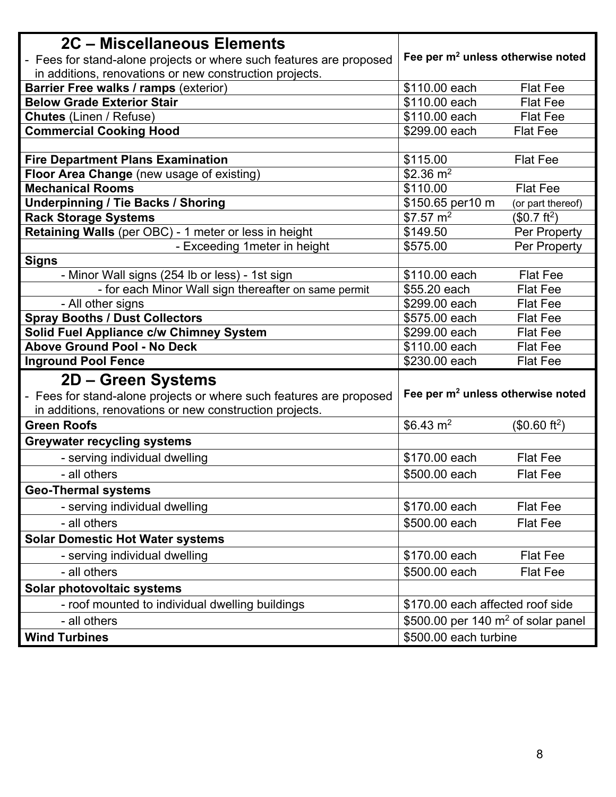| 2C - Miscellaneous Elements                                         |                                               |                           |
|---------------------------------------------------------------------|-----------------------------------------------|---------------------------|
| - Fees for stand-alone projects or where such features are proposed | Fee per m <sup>2</sup> unless otherwise noted |                           |
| in additions, renovations or new construction projects.             |                                               |                           |
| <b>Barrier Free walks / ramps (exterior)</b>                        | \$110.00 each                                 | <b>Flat Fee</b>           |
| <b>Below Grade Exterior Stair</b>                                   | \$110.00 each                                 | <b>Flat Fee</b>           |
| <b>Chutes (Linen / Refuse)</b>                                      | \$110.00 each                                 | <b>Flat Fee</b>           |
| <b>Commercial Cooking Hood</b>                                      | \$299.00 each                                 | <b>Flat Fee</b>           |
|                                                                     |                                               |                           |
| <b>Fire Department Plans Examination</b>                            | \$115.00                                      | <b>Flat Fee</b>           |
| Floor Area Change (new usage of existing)                           | \$2.36 $m2$                                   |                           |
| <b>Mechanical Rooms</b>                                             | \$110.00                                      | <b>Flat Fee</b>           |
| <b>Underpinning / Tie Backs / Shoring</b>                           | \$150.65 per10 m                              | (or part thereof)         |
| <b>Rack Storage Systems</b>                                         | $$7.57 \text{ m}^2$$                          | (\$0.7 ft <sup>2</sup> )  |
| Retaining Walls (per OBC) - 1 meter or less in height               | \$149.50                                      | Per Property              |
| - Exceeding 1 meter in height                                       | \$575.00                                      | Per Property              |
| <b>Signs</b>                                                        |                                               |                           |
| - Minor Wall signs (254 lb or less) - 1st sign                      | \$110.00 each                                 | <b>Flat Fee</b>           |
| - for each Minor Wall sign thereafter on same permit                | \$55.20 each                                  | <b>Flat Fee</b>           |
| - All other signs                                                   | \$299.00 each                                 | <b>Flat Fee</b>           |
| <b>Spray Booths / Dust Collectors</b>                               | \$575.00 each                                 | <b>Flat Fee</b>           |
| Solid Fuel Appliance c/w Chimney System                             | \$299.00 each                                 | <b>Flat Fee</b>           |
| <b>Above Ground Pool - No Deck</b>                                  | \$110.00 each                                 | <b>Flat Fee</b>           |
| <b>Inground Pool Fence</b>                                          | \$230.00 each                                 | <b>Flat Fee</b>           |
| 2D - Green Systems                                                  |                                               |                           |
| - Fees for stand-alone projects or where such features are proposed | Fee per m <sup>2</sup> unless otherwise noted |                           |
| in additions, renovations or new construction projects.             |                                               |                           |
| <b>Green Roofs</b>                                                  | \$6.43 $m2$                                   | (\$0.60 ft <sup>2</sup> ) |
| <b>Greywater recycling systems</b>                                  |                                               |                           |
| - serving individual dwelling                                       | \$170.00 each                                 | <b>Flat Fee</b>           |
| - all others                                                        | \$500.00 each                                 | <b>Flat Fee</b>           |
| <b>Geo-Thermal systems</b>                                          |                                               |                           |
| - serving individual dwelling                                       | \$170.00 each                                 | <b>Flat Fee</b>           |
| - all others                                                        | \$500.00 each                                 | <b>Flat Fee</b>           |
| <b>Solar Domestic Hot Water systems</b>                             |                                               |                           |
| - serving individual dwelling                                       | \$170.00 each                                 | <b>Flat Fee</b>           |
| - all others                                                        | \$500.00 each                                 | <b>Flat Fee</b>           |
| Solar photovoltaic systems                                          |                                               |                           |
| - roof mounted to individual dwelling buildings                     | \$170.00 each affected roof side              |                           |
| \$500.00 per 140 $m2$ of solar panel<br>- all others                |                                               |                           |
| <b>Wind Turbines</b>                                                | \$500.00 each turbine                         |                           |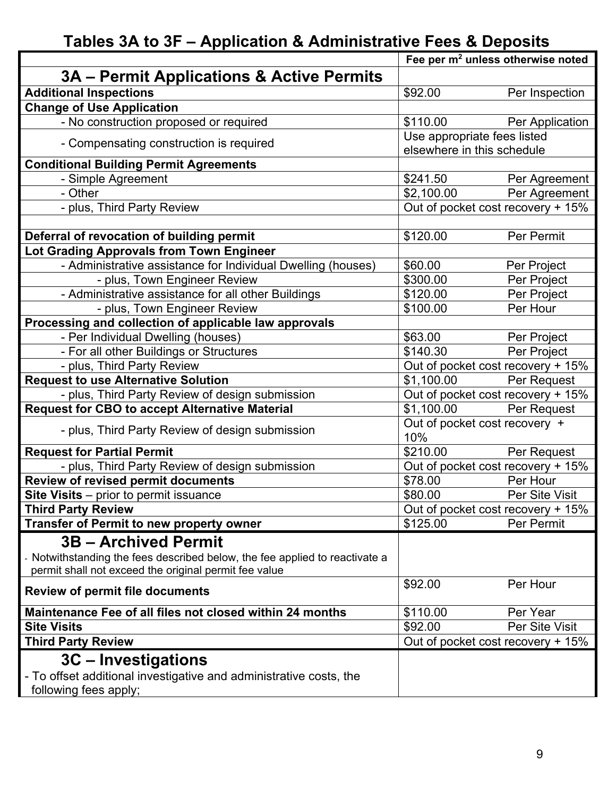## **Tables 3A to 3F – Application & Administrative Fees & Deposits**

|                                                                           | Fee per m <sup>2</sup> unless otherwise noted             |                 |
|---------------------------------------------------------------------------|-----------------------------------------------------------|-----------------|
| 3A – Permit Applications & Active Permits                                 |                                                           |                 |
| <b>Additional Inspections</b>                                             | \$92.00                                                   | Per Inspection  |
| <b>Change of Use Application</b>                                          |                                                           |                 |
| - No construction proposed or required                                    | \$110.00                                                  | Per Application |
| - Compensating construction is required                                   | Use appropriate fees listed<br>elsewhere in this schedule |                 |
| <b>Conditional Building Permit Agreements</b>                             |                                                           |                 |
| - Simple Agreement                                                        | \$241.50                                                  | Per Agreement   |
| - Other                                                                   | \$2,100.00                                                | Per Agreement   |
| - plus, Third Party Review                                                | Out of pocket cost recovery + 15%                         |                 |
|                                                                           |                                                           |                 |
| Deferral of revocation of building permit                                 | \$120.00                                                  | Per Permit      |
| Lot Grading Approvals from Town Engineer                                  |                                                           |                 |
| - Administrative assistance for Individual Dwelling (houses)              | \$60.00                                                   | Per Project     |
| - plus, Town Engineer Review                                              | \$300.00                                                  | Per Project     |
| - Administrative assistance for all other Buildings                       | \$120.00                                                  | Per Project     |
| - plus, Town Engineer Review                                              | \$100.00                                                  | Per Hour        |
| Processing and collection of applicable law approvals                     |                                                           |                 |
| - Per Individual Dwelling (houses)                                        | \$63.00                                                   | Per Project     |
| - For all other Buildings or Structures                                   | \$140.30                                                  | Per Project     |
| - plus, Third Party Review                                                | Out of pocket cost recovery + 15%                         |                 |
| <b>Request to use Alternative Solution</b>                                | \$1,100.00                                                | Per Request     |
| - plus, Third Party Review of design submission                           | Out of pocket cost recovery + 15%                         |                 |
| <b>Request for CBO to accept Alternative Material</b>                     | \$1,100.00                                                | Per Request     |
| - plus, Third Party Review of design submission                           | Out of pocket cost recovery +<br>10%                      |                 |
| <b>Request for Partial Permit</b>                                         | \$210.00                                                  | Per Request     |
| - plus, Third Party Review of design submission                           | Out of pocket cost recovery + 15%                         |                 |
| <b>Review of revised permit documents</b>                                 | \$78.00                                                   | Per Hour        |
| Site Visits - prior to permit issuance                                    | \$80.00                                                   | Per Site Visit  |
| <b>Third Party Review</b>                                                 | Out of pocket cost recovery + 15%                         |                 |
| Transfer of Permit to new property owner                                  | \$125.00                                                  | Per Permit      |
| <b>3B - Archived Permit</b>                                               |                                                           |                 |
| Notwithstanding the fees described below, the fee applied to reactivate a |                                                           |                 |
| permit shall not exceed the original permit fee value                     |                                                           |                 |
| <b>Review of permit file documents</b>                                    | \$92.00                                                   | Per Hour        |
| Maintenance Fee of all files not closed within 24 months                  | \$110.00                                                  | Per Year        |
| <b>Site Visits</b>                                                        | \$92.00                                                   | Per Site Visit  |
| <b>Third Party Review</b>                                                 | Out of pocket cost recovery + 15%                         |                 |
| 3C – Investigations                                                       |                                                           |                 |
| - To offset additional investigative and administrative costs, the        |                                                           |                 |
| following fees apply;                                                     |                                                           |                 |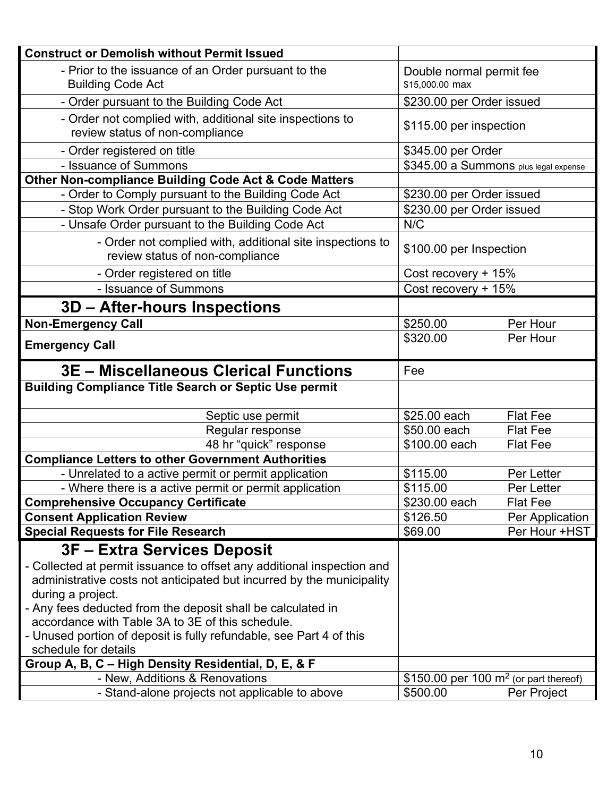| <b>Construct or Demolish without Permit Issued</b>                                                                                                                                                                                                                                                                                                                                     |                                         |                 |
|----------------------------------------------------------------------------------------------------------------------------------------------------------------------------------------------------------------------------------------------------------------------------------------------------------------------------------------------------------------------------------------|-----------------------------------------|-----------------|
| - Prior to the issuance of an Order pursuant to the<br>Double normal permit fee<br><b>Building Code Act</b><br>\$15,000.00 max                                                                                                                                                                                                                                                         |                                         |                 |
| - Order pursuant to the Building Code Act                                                                                                                                                                                                                                                                                                                                              | \$230.00 per Order issued               |                 |
| - Order not complied with, additional site inspections to<br>\$115.00 per inspection<br>review status of non-compliance                                                                                                                                                                                                                                                                |                                         |                 |
| - Order registered on title                                                                                                                                                                                                                                                                                                                                                            | \$345.00 per Order                      |                 |
| - Issuance of Summons                                                                                                                                                                                                                                                                                                                                                                  | \$345.00 a Summons plus legal expense   |                 |
| Other Non-compliance Building Code Act & Code Matters                                                                                                                                                                                                                                                                                                                                  |                                         |                 |
| - Order to Comply pursuant to the Building Code Act                                                                                                                                                                                                                                                                                                                                    | \$230.00 per Order issued               |                 |
| - Stop Work Order pursuant to the Building Code Act                                                                                                                                                                                                                                                                                                                                    | \$230.00 per Order issued               |                 |
| - Unsafe Order pursuant to the Building Code Act                                                                                                                                                                                                                                                                                                                                       | N/C                                     |                 |
| - Order not complied with, additional site inspections to<br>review status of non-compliance                                                                                                                                                                                                                                                                                           | \$100.00 per Inspection                 |                 |
| - Order registered on title                                                                                                                                                                                                                                                                                                                                                            | Cost recovery + 15%                     |                 |
| - Issuance of Summons                                                                                                                                                                                                                                                                                                                                                                  | Cost recovery + 15%                     |                 |
| <b>3D – After-hours Inspections</b>                                                                                                                                                                                                                                                                                                                                                    |                                         |                 |
| <b>Non-Emergency Call</b>                                                                                                                                                                                                                                                                                                                                                              | \$250.00                                | Per Hour        |
| <b>Emergency Call</b>                                                                                                                                                                                                                                                                                                                                                                  | \$320.00                                | Per Hour        |
| <b>3E - Miscellaneous Clerical Functions</b>                                                                                                                                                                                                                                                                                                                                           | Fee                                     |                 |
| <b>Building Compliance Title Search or Septic Use permit</b>                                                                                                                                                                                                                                                                                                                           |                                         |                 |
| Septic use permit                                                                                                                                                                                                                                                                                                                                                                      | \$25.00 each                            | <b>Flat Fee</b> |
| Regular response                                                                                                                                                                                                                                                                                                                                                                       | \$50.00 each                            | <b>Flat Fee</b> |
| 48 hr "quick" response                                                                                                                                                                                                                                                                                                                                                                 | \$100.00 each                           | <b>Flat Fee</b> |
| <b>Compliance Letters to other Government Authorities</b>                                                                                                                                                                                                                                                                                                                              |                                         |                 |
| - Unrelated to a active permit or permit application                                                                                                                                                                                                                                                                                                                                   | \$115.00                                | Per Letter      |
| - Where there is a active permit or permit application                                                                                                                                                                                                                                                                                                                                 | \$115.00                                | Per Letter      |
| <b>Comprehensive Occupancy Certificate</b>                                                                                                                                                                                                                                                                                                                                             | \$230.00 each                           | <b>Flat Fee</b> |
| <b>Consent Application Review</b>                                                                                                                                                                                                                                                                                                                                                      | \$126.50                                | Per Application |
| <b>Special Requests for File Research</b>                                                                                                                                                                                                                                                                                                                                              | \$69.00                                 | Per Hour +HST   |
| 3F - Extra Services Deposit                                                                                                                                                                                                                                                                                                                                                            |                                         |                 |
| - Collected at permit issuance to offset any additional inspection and<br>administrative costs not anticipated but incurred by the municipality<br>during a project.<br>- Any fees deducted from the deposit shall be calculated in<br>accordance with Table 3A to 3E of this schedule.<br>- Unused portion of deposit is fully refundable, see Part 4 of this<br>schedule for details |                                         |                 |
| Group A, B, C - High Density Residential, D, E, & F                                                                                                                                                                                                                                                                                                                                    |                                         |                 |
| - New, Additions & Renovations                                                                                                                                                                                                                                                                                                                                                         | \$150.00 per 100 $m2$ (or part thereof) |                 |
| - Stand-alone projects not applicable to above                                                                                                                                                                                                                                                                                                                                         | \$500.00                                | Per Project     |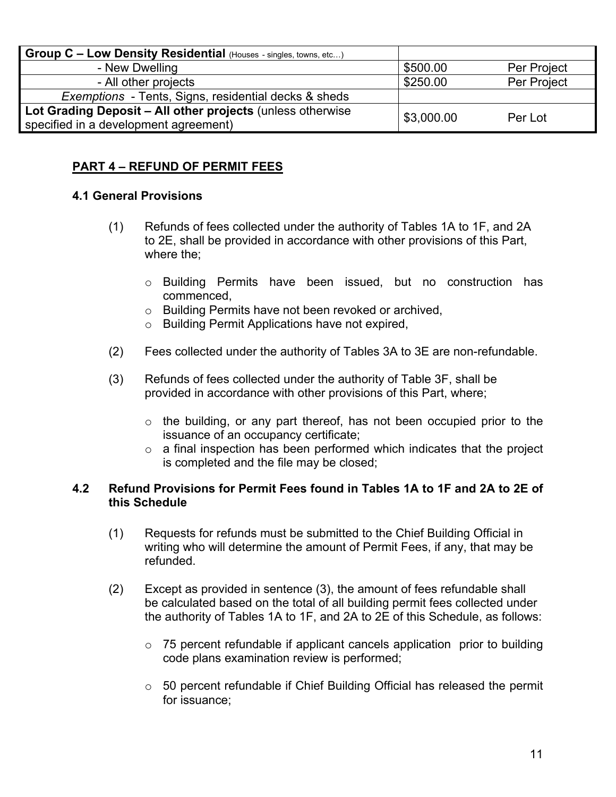| <b>Group C - Low Density Residential (Houses - singles, towns, etc)</b> |            |             |
|-------------------------------------------------------------------------|------------|-------------|
| - New Dwelling                                                          | \$500.00   | Per Project |
| - All other projects                                                    | \$250.00   | Per Project |
| <i>Exemptions</i> - Tents, Signs, residential decks & sheds             |            |             |
| Lot Grading Deposit - All other projects (unless otherwise              | \$3,000.00 | Per Lot     |
| specified in a development agreement)                                   |            |             |

#### **PART 4 – REFUND OF PERMIT FEES**

#### **4.1 General Provisions**

- (1) Refunds of fees collected under the authority of Tables 1A to 1F, and 2A to 2E, shall be provided in accordance with other provisions of this Part, where the;
	- o Building Permits have been issued, but no construction has commenced,
	- o Building Permits have not been revoked or archived,
	- o Building Permit Applications have not expired,
- (2) Fees collected under the authority of Tables 3A to 3E are non-refundable.
- (3) Refunds of fees collected under the authority of Table 3F, shall be provided in accordance with other provisions of this Part, where;
	- o the building, or any part thereof, has not been occupied prior to the issuance of an occupancy certificate;
	- $\circ$  a final inspection has been performed which indicates that the project is completed and the file may be closed;

#### **4.2 Refund Provisions for Permit Fees found in Tables 1A to 1F and 2A to 2E of this Schedule**

- (1) Requests for refunds must be submitted to the Chief Building Official in writing who will determine the amount of Permit Fees, if any, that may be refunded.
- (2) Except as provided in sentence (3), the amount of fees refundable shall be calculated based on the total of all building permit fees collected under the authority of Tables 1A to 1F, and 2A to 2E of this Schedule, as follows:
	- $\circ$  75 percent refundable if applicant cancels application prior to building code plans examination review is performed;
	- o 50 percent refundable if Chief Building Official has released the permit for issuance;